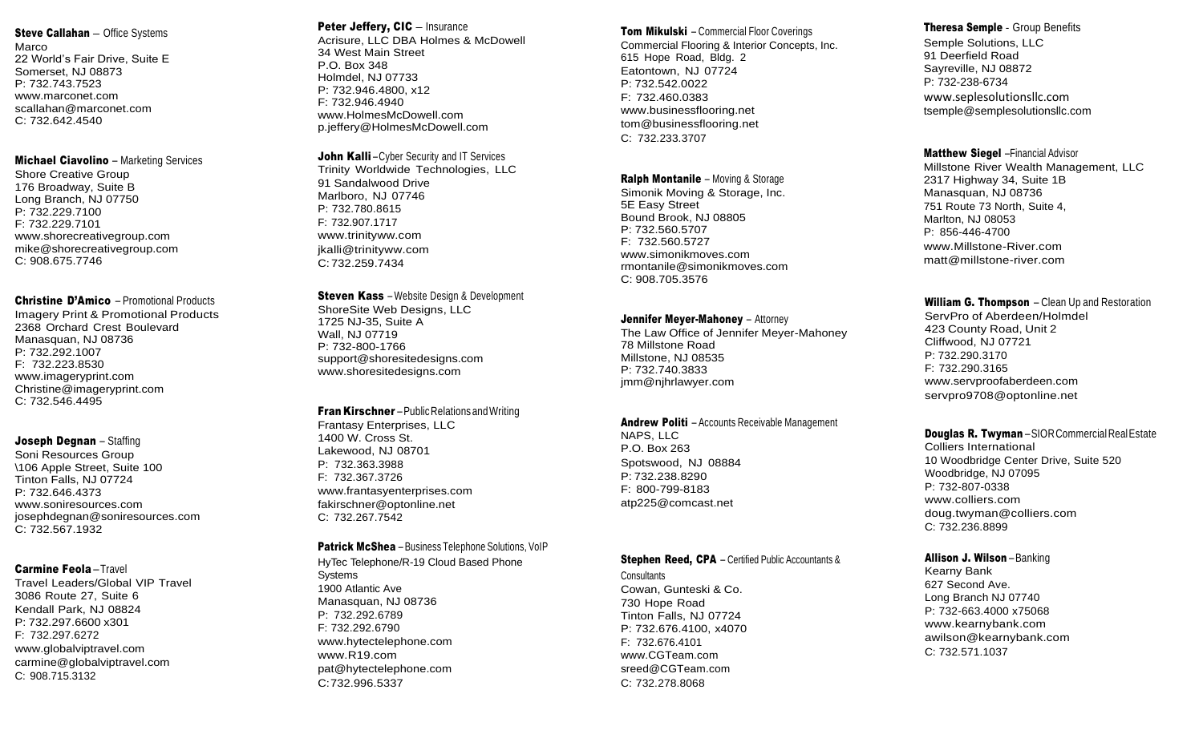# Steve Callahan - Office Systems

Marco 22 World's Fair Drive, Suite E Somerset, NJ 08873 P: 732.743 .7523 www.marconet.com scallahan@marconet.com C: 732.642.4540

#### Michael Ciavolino – Marketing Services

Shore Creative Group 176 Broadway, Suite B Long Branch, NJ 07750 P: 732.229.7100 F: 732.229.7101 www.shorecreativegroup.com mike@shorecreativegroup.com C: 908.675.7746

### Christine D'Amico – Promotional Products

Imagery Print & Promotional Products 2368 Orchard Crest Boulevard Manasquan, NJ 08736 P: 732.292.1007 F: 732.223.8530 www.imageryprint.com Christine@imageryprint.com C: 732.546.4495

#### Joseph Degnan – Staffing

Soni Resources Group \106 Apple Street, Suite 100 Tinton Falls, NJ 07724 P: 732.646.4373 www.soniresources.com josephdegnan@soniresources.com C: 732.567.1932

# Carmine Feola –Travel

Travel Leaders/Global VIP Travel 3086 Route 27, Suite 6 Kendall Park, NJ 08824 P: 732.297.6600 x301 F: 732.297.6272 [www.globalviptravel.com](http://www.globalviptravel.com/) [carmine@globalviptravel.com](mailto:carmine@globalviptravel.com) C: 908.715.3132

# Peter Jeffery, CIC - Insurance

Acrisure, LLC DBA Holmes & McDowell 34 West Main Street P.O. Box 348 Holmdel, NJ 07733 P: 732.946.4800, x12 F: 732.946.4940 www.HolmesMcDowell.com p.jeffery@HolmesMcDowell.com

**John Kalli**-Cyber Security and IT Services Trinity Worldwide Technologies, LLC 91 Sandalwood Drive Marlboro, NJ 07746 P: 732.780.8615 F: 732.907.1717 [www.trinityww.com](http://www.trinityww.com/) [jkalli@trinityww.com](mailto:jkalli@trinityww.com) C: 732.259.7434

### **Steven Kass** – Website Design & Development

Shore Site Web Designs , LLC 1725 NJ -35, Suite A Wall, NJ 07719 P: 732 -800 -1766 support@shoresitedesigns.com www.shoresitedesigns.com

#### **Fran Kirschner** – Public Relations and Writing

Frantasy Enterprises, LLC 1400 W. Cross St. Lakewood, NJ 08701 P: 732.363.3988 F: 732.367.3726 [www.frantasyenterprises.com](http://www.frantasyenterprises.com/) [fakirschner@optonline.net](mailto:fakirschner@optonline.net) C: 732.267.7542

#### **Patrick McShea** – Business Telephone Solutions, VoIP

Hy Tec Telephone/R - 19 Cloud Based Phon e System s 1900 Atlantic Ave Manasquan, NJ 08736 P: 732.292.6789 F: 732.292.6790 [www.hytectelephone.com](http://www.hytectelephone.com/) www.R19.com pat@hytectelephone.com C:732.996.5337

#### **Tom Mikulski** – Commercial Floor Coverings

Commercial Flooring & Interior Concepts, Inc. 615 Hope Road, Bldg. 2 Eatontown, NJ 07724 P: 732.542.0022 F: 732.460.0383 www.businessflooring.net tom@businessflooring.net C: 732.233.3707

#### Ralph Montanile – Moving & Storage

Simonik Moving & Storage, Inc. 5E Easy Street Bound Brook, NJ 08805 P: 732.560.5707 F: 732.560.5727 www.simonikmoves.com rmontanile@simonikmoves.com C: 908.705.3576

#### **Jennifer Meyer-Mahoney** – Attorney

The Law Office of Jennifer Meyer -Mahoney 78 Millstone Road Millstone, NJ 08535 P: 732.740.3833 jmm@njhrlawyer.com

# Andrew Politi – Accounts Receivable Management

NAPS, LLC P.O. Box 263 Spotswood, NJ 08884 P: 732.238.8290 F: 800 -799 -8183 [atp225@comcast.net](mailto:atp225@comcast.net)

#### Stephen Reed, CPA – Certified Public Accountants &

**Consultants** Cowan, Gunteski & Co. 730 Hope Road Tinton Falls, NJ 07724 P: 732.676.4100, x4070 F: 732.676.4101 [www.CGTeam.com](http://www.cgteam.com/) [sreed@CGTeam.com](mailto:sreed@CGTeam.com) C: 732.278.8068

# Theresa Semple - Group Benefits

Semple Solutions, LLC 91 Deerfield Road Sayr eville, NJ 08872 P: 732 -238 -6734 www.seplesolutionsllc.com tsemple@semplesolutionsllc.com

# Matthew Siegel –Financial Advisor

Millstone River Wealth Management, LLC 2317 Highway 34, Suite 1B Manasquan, NJ 08736 751 Route 73 North, Suite 4, Marlton, NJ 08053 P: 856 -446 -4700 www.Millstone -River.com [matt@millstone](mailto:matt@millstone-river.com) -river.com

# William G. Thompson – Clean Up and Restoration

ServPro of Aberdeen/Holmdel 423 County Road, Unit 2 Cliffwood, NJ 07721 P: 732.290.3170 F: 732.290.3165 [www.servproofaberdeen.com](http://www.servproofaberdeen.com/) [servpro9708@optonline.net](mailto:servpro9708@optonline.net)

# **Douglas R. Twyman**–SIORCommercialRealEstate

Colliers International 10 Woodbridge Center Drive, Suite 520 Woodbridge, NJ 07095 P: 732 -807 -0338 [www.colliers.com](http://www.colliers.com/) doug.twyman@colliers.com C: 732.236.8899

#### Allison J. Wilson –Banking

Kearny Bank 627 Second Ave . Long Branch NJ 07740 P: 732 -663.4000 x75068 www.kearnybank.com awilson@kearnybank.com C: 732.571.1037